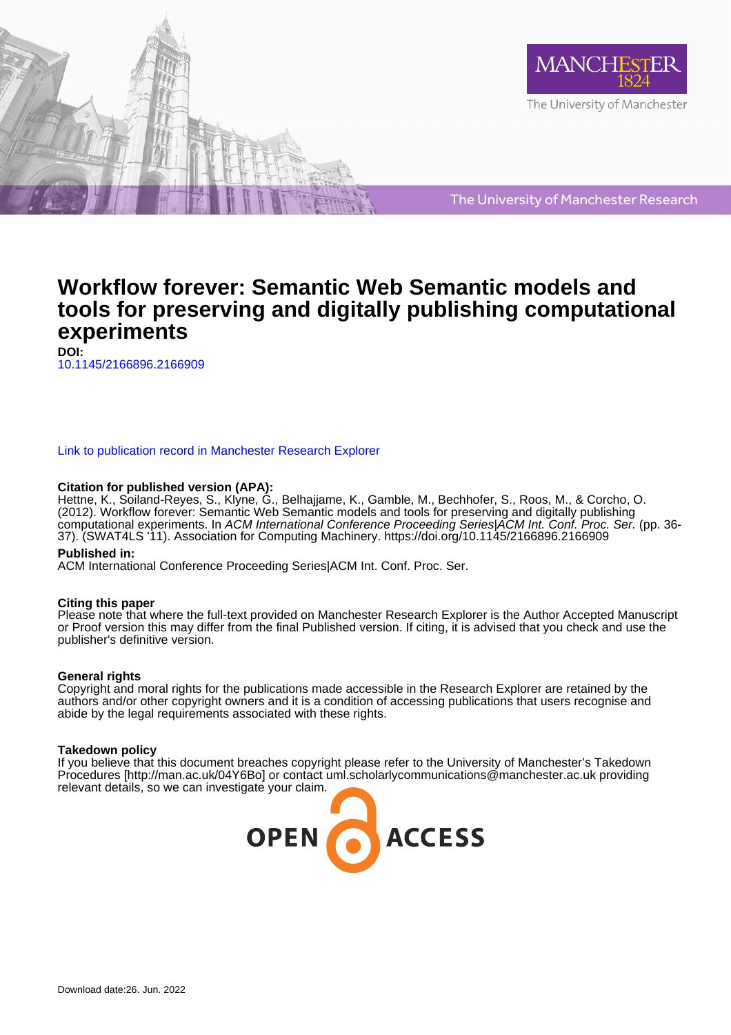



The University of Manchester Research

## **Workflow forever: Semantic Web Semantic models and tools for preserving and digitally publishing computational experiments**

**DOI:** [10.1145/2166896.2166909](https://doi.org/10.1145/2166896.2166909)

#### [Link to publication record in Manchester Research Explorer](https://www.research.manchester.ac.uk/portal/en/publications/workflow-forever-semantic-web-semantic-models-and-tools-for-preserving-and-digitally-publishing-computational-experiments(4a0cccc2-2263-448a-ae32-ca82c5621d25).html)

#### **Citation for published version (APA):**

Hettne, K., Soiland-Reyes, S., Klyne, G., Belhajjame, K., Gamble, M., Bechhofer, S., Roos, M., & Corcho, O. (2012). Workflow forever: Semantic Web Semantic models and tools for preserving and digitally publishing computational experiments. In ACM International Conference Proceeding Series|ACM Int. Conf. Proc. Ser. (pp. 36- 37). (SWAT4LS '11). Association for Computing Machinery. <https://doi.org/10.1145/2166896.2166909>

#### **Published in:**

ACM International Conference Proceeding Series|ACM Int. Conf. Proc. Ser.

#### **Citing this paper**

Please note that where the full-text provided on Manchester Research Explorer is the Author Accepted Manuscript or Proof version this may differ from the final Published version. If citing, it is advised that you check and use the publisher's definitive version.

#### **General rights**

Copyright and moral rights for the publications made accessible in the Research Explorer are retained by the authors and/or other copyright owners and it is a condition of accessing publications that users recognise and abide by the legal requirements associated with these rights.

#### **Takedown policy**

If you believe that this document breaches copyright please refer to the University of Manchester's Takedown Procedures [http://man.ac.uk/04Y6Bo] or contact uml.scholarlycommunications@manchester.ac.uk providing relevant details, so we can investigate your claim.

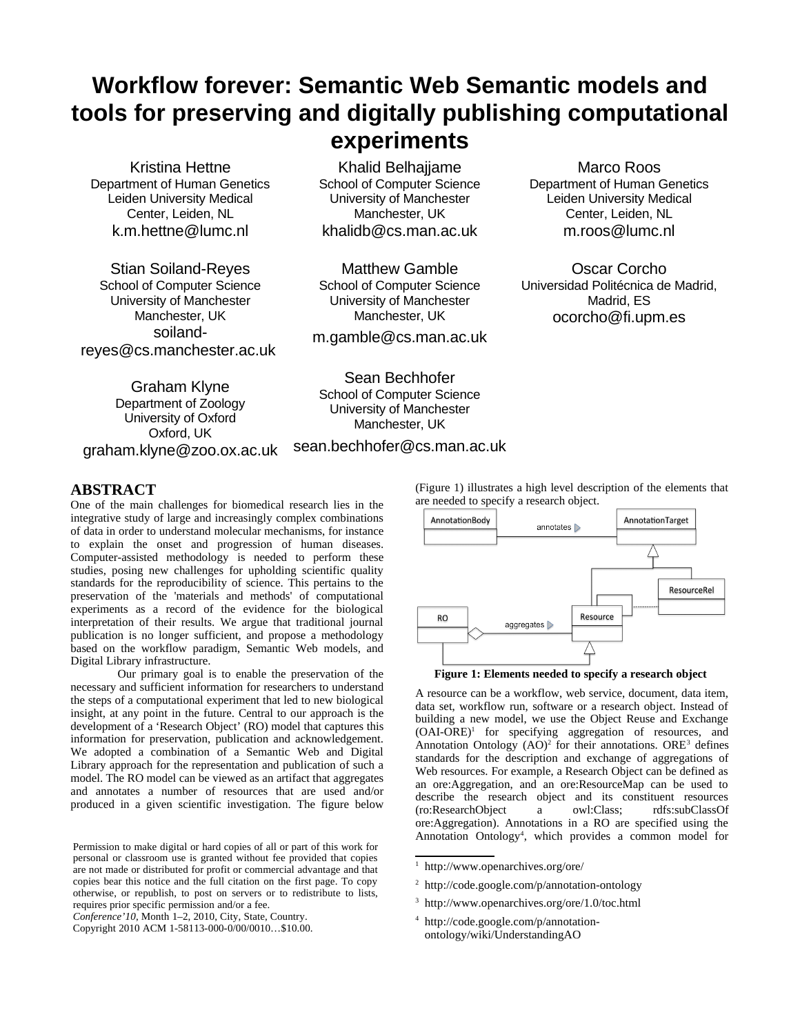# **Workflow forever: Semantic Web Semantic models and tools for preserving and digitally publishing computational experiments**

Kristina Hettne Department of Human Genetics Leiden University Medical Center, Leiden, NL k.m.hettne@lumc.nl

Stian Soiland-Reyes School of Computer Science University of Manchester Manchester, UK soilandreyes@cs.manchester.ac.uk

Khalid Belhajjame School of Computer Science University of Manchester Manchester, UK khalidb@cs.man.ac.uk

Matthew Gamble School of Computer Science University of Manchester Manchester, UK

m.gamble@cs.man.ac.uk

Graham Klyne Department of Zoology University of Oxford Oxford, UK graham.klyne@zoo.ox.ac.uk

Sean Bechhofer School of Computer Science University of Manchester Manchester, UK

sean.bechhofer@cs.man.ac.uk

### **ABSTRACT**

One of the main challenges for biomedical research lies in the integrative study of large and increasingly complex combinations of data in order to understand molecular mechanisms, for instance to explain the onset and progression of human diseases. Computer-assisted methodology is needed to perform these studies, posing new challenges for upholding scientific quality standards for the reproducibility of science. This pertains to the preservation of the 'materials and methods' of computational experiments as a record of the evidence for the biological interpretation of their results. We argue that traditional journal publication is no longer sufficient, and propose a methodology based on the workflow paradigm, Semantic Web models, and Digital Library infrastructure.

Our primary goal is to enable the preservation of the necessary and sufficient information for researchers to understand the steps of a computational experiment that led to new biological insight, at any point in the future. Central to our approach is the development of a 'Research Object' (RO) model that captures this information for preservation, publication and acknowledgement. We adopted a combination of a Semantic Web and Digital Library approach for the representation and publication of such a model. The RO model can be viewed as an artifact that aggregates and annotates a number of resources that are used and/or produced in a given scientific investigation. The figure below

*Conference'10*, Month 1–2, 2010, City, State, Country.

(Figure 1) illustrates a high level description of the elements that are needed to specify a research object.

Marco Roos Department of Human Genetics Leiden University Medical Center, Leiden, NL m.roos@lumc.nl

Oscar Corcho Universidad Politécnica de Madrid, Madrid, ES ocorcho@fi.upm.es





A resource can be a workflow, web service, document, data item, data set, workflow run, software or a research object. Instead of building a new model, we use the Object Reuse and Exchange (OAI-ORE)[1](#page-1-0) for specifying aggregation of resources, and Annotation Ontology  $(AO)^2$  $(AO)^2$  for their annotations. ORE<sup>[3](#page-1-2)</sup> defines standards for the description and exchange of aggregations of Web resources. For example, a Research Object can be defined as an ore:Aggregation, and an ore:ResourceMap can be used to describe the research object and its constituent resources (ro:ResearchObject a owl:Class; rdfs:subClassOf ore:Aggregation). Annotations in a RO are specified using the Annotation Ontology<sup>[4](#page-1-3)</sup>, which provides a common model for

<span id="page-1-3"></span>4 http://code.google.com/p/annotationontology/wiki/UnderstandingAO

Permission to make digital or hard copies of all or part of this work for personal or classroom use is granted without fee provided that copies are not made or distributed for profit or commercial advantage and that copies bear this notice and the full citation on the first page. To copy otherwise, or republish, to post on servers or to redistribute to lists, requires prior specific permission and/or a fee.

Copyright 2010 ACM 1-58113-000-0/00/0010…\$10.00.

<span id="page-1-0"></span><sup>1</sup> http://www.openarchives.org/ore/

<span id="page-1-1"></span><sup>2</sup> http://code.google.com/p/annotation-ontology

<span id="page-1-2"></span><sup>3</sup> http://www.openarchives.org/ore/1.0/toc.html